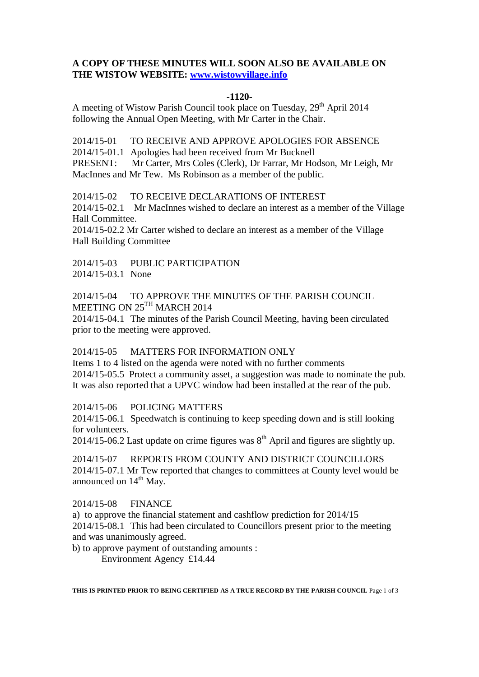# **A COPY OF THESE MINUTES WILL SOON ALSO BE AVAILABLE ON THE WISTOW WEBSITE: [www.wistowvillage.info](http://www.wistowvillage.info/)**

#### **-1120-**

A meeting of Wistow Parish Council took place on Tuesday, 29<sup>th</sup> April 2014 following the Annual Open Meeting, with Mr Carter in the Chair.

2014/15-01 TO RECEIVE AND APPROVE APOLOGIES FOR ABSENCE

2014/15-01.1 Apologies had been received from Mr Bucknell

PRESENT: Mr Carter, Mrs Coles (Clerk), Dr Farrar, Mr Hodson, Mr Leigh, Mr MacInnes and Mr Tew. Ms Robinson as a member of the public.

2014/15-02 TO RECEIVE DECLARATIONS OF INTEREST

2014/15-02.1 Mr MacInnes wished to declare an interest as a member of the Village Hall Committee.

2014/15-02.2 Mr Carter wished to declare an interest as a member of the Village Hall Building Committee

2014/15-03 PUBLIC PARTICIPATION 2014/15-03.1 None

2014/15-04 TO APPROVE THE MINUTES OF THE PARISH COUNCIL MEETING ON 25TH MARCH 2014

2014/15-04.1 The minutes of the Parish Council Meeting, having been circulated prior to the meeting were approved.

## 2014/15-05 MATTERS FOR INFORMATION ONLY

Items 1 to 4 listed on the agenda were noted with no further comments 2014/15-05.5 Protect a community asset, a suggestion was made to nominate the pub. It was also reported that a UPVC window had been installed at the rear of the pub.

## 2014/15-06 POLICING MATTERS

2014/15-06.1 Speedwatch is continuing to keep speeding down and is still looking for volunteers.

 $2014/15-06.2$  Last update on crime figures was  $8<sup>th</sup>$  April and figures are slightly up.

2014/15-07 REPORTS FROM COUNTY AND DISTRICT COUNCILLORS 2014/15-07.1 Mr Tew reported that changes to committees at County level would be announced on  $14<sup>th</sup>$  May.

## 2014/15-08 FINANCE

a) to approve the financial statement and cashflow prediction for 2014/15 2014/15-08.1 This had been circulated to Councillors present prior to the meeting and was unanimously agreed.

b) to approve payment of outstanding amounts :

Environment Agency £14.44

**THIS IS PRINTED PRIOR TO BEING CERTIFIED AS A TRUE RECORD BY THE PARISH COUNCIL** Page 1 of 3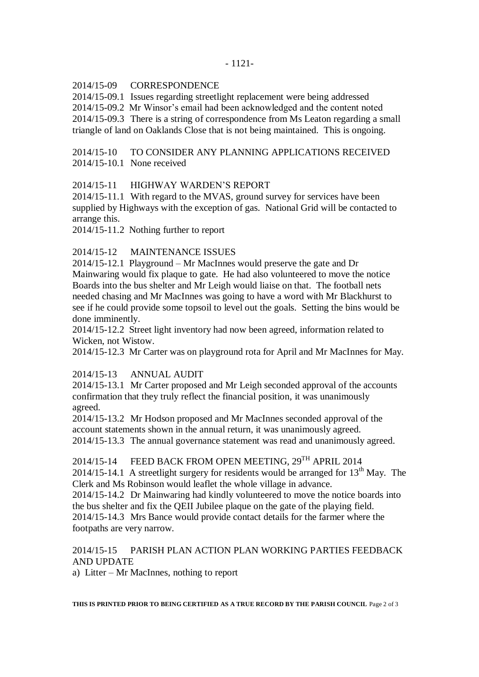#### 2014/15-09 CORRESPONDENCE

2014/15-09.1 Issues regarding streetlight replacement were being addressed

2014/15-09.2 Mr Winsor's email had been acknowledged and the content noted

2014/15-09.3 There is a string of correspondence from Ms Leaton regarding a small

triangle of land on Oaklands Close that is not being maintained. This is ongoing.

# 2014/15-10 TO CONSIDER ANY PLANNING APPLICATIONS RECEIVED 2014/15-10.1 None received

## 2014/15-11 HIGHWAY WARDEN'S REPORT

2014/15-11.1 With regard to the MVAS, ground survey for services have been supplied by Highways with the exception of gas. National Grid will be contacted to arrange this.

2014/15-11.2 Nothing further to report

## 2014/15-12 MAINTENANCE ISSUES

2014/15-12.1 Playground – Mr MacInnes would preserve the gate and Dr Mainwaring would fix plaque to gate. He had also volunteered to move the notice Boards into the bus shelter and Mr Leigh would liaise on that. The football nets needed chasing and Mr MacInnes was going to have a word with Mr Blackhurst to see if he could provide some topsoil to level out the goals. Setting the bins would be done imminently.

2014/15-12.2 Street light inventory had now been agreed, information related to Wicken, not Wistow.

2014/15-12.3 Mr Carter was on playground rota for April and Mr MacInnes for May.

## 2014/15-13 ANNUAL AUDIT

2014/15-13.1 Mr Carter proposed and Mr Leigh seconded approval of the accounts confirmation that they truly reflect the financial position, it was unanimously agreed.

2014/15-13.2 Mr Hodson proposed and Mr MacInnes seconded approval of the account statements shown in the annual return, it was unanimously agreed. 2014/15-13.3 The annual governance statement was read and unanimously agreed.

2014/15-14 FEED BACK FROM OPEN MEETING, 29<sup>TH</sup> APRIL 2014 2014/15-14.1 A streetlight surgery for residents would be arranged for  $13<sup>th</sup>$  May. The Clerk and Ms Robinson would leaflet the whole village in advance.

2014/15-14.2 Dr Mainwaring had kindly volunteered to move the notice boards into the bus shelter and fix the QEII Jubilee plaque on the gate of the playing field. 2014/15-14.3 Mrs Bance would provide contact details for the farmer where the footpaths are very narrow.

# 2014/15-15 PARISH PLAN ACTION PLAN WORKING PARTIES FEEDBACK AND UPDATE

a) Litter – Mr MacInnes, nothing to report

**THIS IS PRINTED PRIOR TO BEING CERTIFIED AS A TRUE RECORD BY THE PARISH COUNCIL** Page 2 of 3